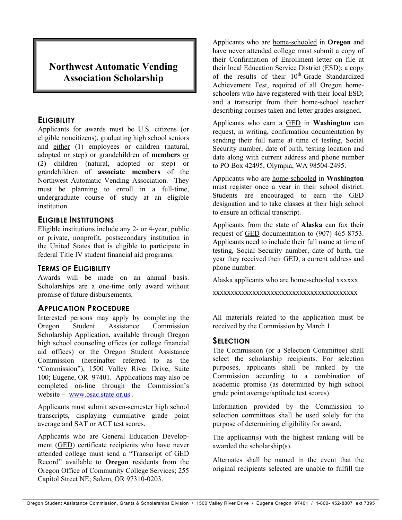# **Northwest Automatic Vending Association Scholarship**

### **ELIGIBILITY**

Applicants for awards must be U.S. citizens (or eligible noncitizens), graduating high school seniors and either (1) employees or children (natural, adopted or step) or grandchildren of **members** or (2) children (natural, adopted or step) or grandchildren of **associate members** of the Northwest Automatic Vending Association. They must be planning to enroll in a full-time, undergraduate course of study at an eligible institution.

# **ELIGIBLE INSTITUTIONS**

Eligible institutions include any 2- or 4-year, public or private, nonprofit, postsecondary institution in the United States that is eligible to participate in federal Title IV student financial aid programs.

# **TERMS OF ELIGIBILITY**

Awards will be made on an annual basis. Scholarships are a one-time only award without promise of future disbursements.

# **APPLICATION PROCEDURE**

Interested persons may apply by completing the Oregon Student Assistance Commission Scholarship Application, available through Oregon high school counseling offices (or college financial aid offices) or the Oregon Student Assistance Commission (hereinafter referred to as the "Commission"), 1500 Valley River Drive, Suite 100; Eugene, OR 97401. Applications may also be completed on-line through the Commission's website – <www.osac.state.or.us>.

Applicants must submit seven-semester high school transcripts, displaying cumulative grade point average and SAT or ACT test scores.

Applicants who are General Education Development (GED) certificate recipients who have never attended college must send a "Transcript of GED Record" available to **Oregon** residents from the Oregon Office of Community College Services; 255 Capitol Street NE; Salem, OR 97310-0203.

Applicants who are home-schooled in **Oregon** and have never attended college must submit a copy of their Confirmation of Enrollment letter on file at their local Education Service District (ESD); a copy of the results of their 10<sup>th</sup>-Grade Standardized Achievement Test, required of all Oregon homeschoolers who have registered with their local ESD; and a transcript from their home-school teacher describing courses taken and letter grades assigned.

Applicants who earn a GED in **Washington** can request, in writing, confirmation documentation by sending their full name at time of testing, Social Security number, date of birth, testing location and date along with current address and phone number to PO Box 42495, Olympia, WA 98504-2495.

Applicants who are home-schooled in **Washington** must register once a year in their school district. Students are encouraged to earn the GED designation and to take classes at their high school to ensure an official transcript.

Applicants from the state of **Alaska** can fax their request of GED documentation to (907) 465-8753. Applicants need to include their full name at time of testing, Social Security number, date of birth, the year they received their GED, a current address and phone number.

Alaska applicants who are home-schooled xxxxxx

xxxxxxxxxxxxxxxxxxxxxxxxxxxxxxxxxxxxxxxx

All materials related to the application must be received by the Commission by March 1.

# **SELECTION**

The Commission (or a Selection Committee) shall select the scholarship recipients. For selection purposes, applicants shall be ranked by the Commission according to a combination of academic promise (as determined by high school grade point average/aptitude test scores).

Information provided by the Commission to selection committees shall be used solely for the purpose of determining eligibility for award.

The applicant(s) with the highest ranking will be awarded the scholarship(s).

Alternates shall be named in the event that the original recipients selected are unable to fulfill the